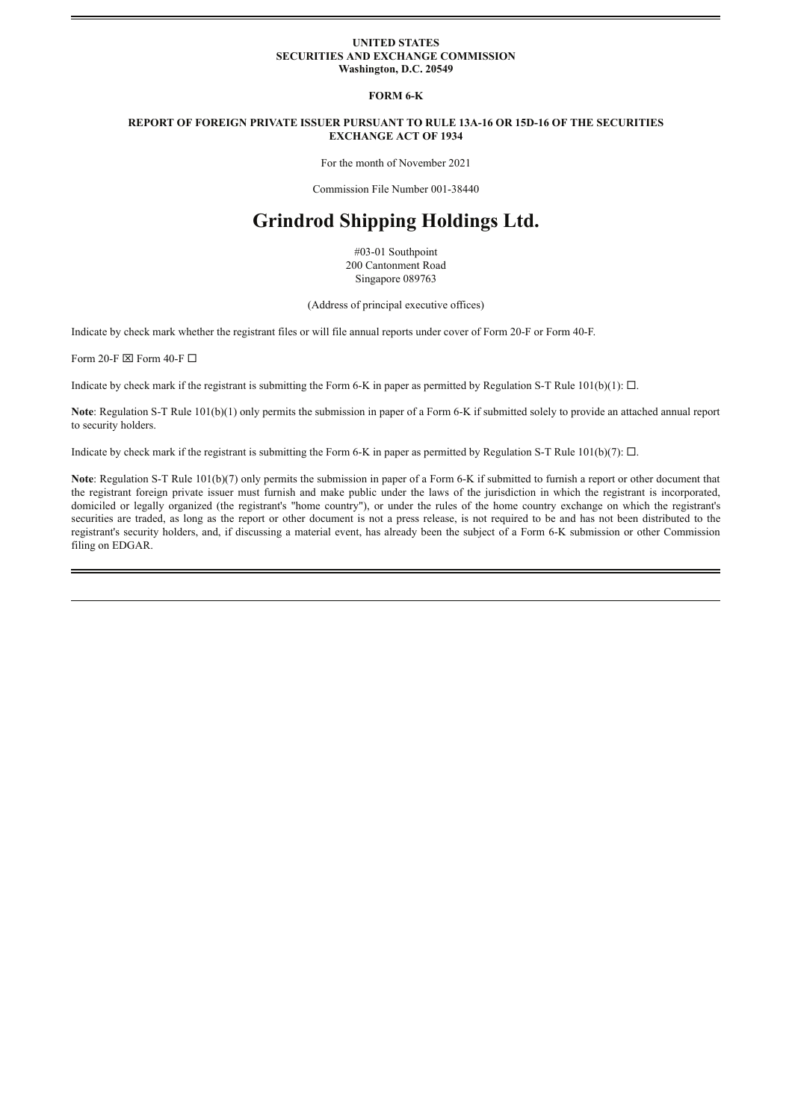#### **UNITED STATES SECURITIES AND EXCHANGE COMMISSION Washington, D.C. 20549**

**FORM 6-K**

#### **REPORT OF FOREIGN PRIVATE ISSUER PURSUANT TO RULE 13A-16 OR 15D-16 OF THE SECURITIES EXCHANGE ACT OF 1934**

For the month of November 2021

Commission File Number 001-38440

# **Grindrod Shipping Holdings Ltd.**

#03-01 Southpoint 200 Cantonment Road Singapore 089763

(Address of principal executive offices)

Indicate by check mark whether the registrant files or will file annual reports under cover of Form 20-F or Form 40-F.

Form 20-F  $\boxtimes$  Form 40-F  $\Box$ 

Indicate by check mark if the registrant is submitting the Form 6-K in paper as permitted by Regulation S-T Rule  $101(b)(1)$ :  $\Box$ .

**Note**: Regulation S-T Rule 101(b)(1) only permits the submission in paper of a Form 6-K if submitted solely to provide an attached annual report to security holders.

Indicate by check mark if the registrant is submitting the Form 6-K in paper as permitted by Regulation S-T Rule 101(b)(7):  $\Box$ .

**Note**: Regulation S-T Rule 101(b)(7) only permits the submission in paper of a Form 6-K if submitted to furnish a report or other document that the registrant foreign private issuer must furnish and make public under the laws of the jurisdiction in which the registrant is incorporated, domiciled or legally organized (the registrant's "home country"), or under the rules of the home country exchange on which the registrant's securities are traded, as long as the report or other document is not a press release, is not required to be and has not been distributed to the registrant's security holders, and, if discussing a material event, has already been the subject of a Form 6-K submission or other Commission filing on EDGAR.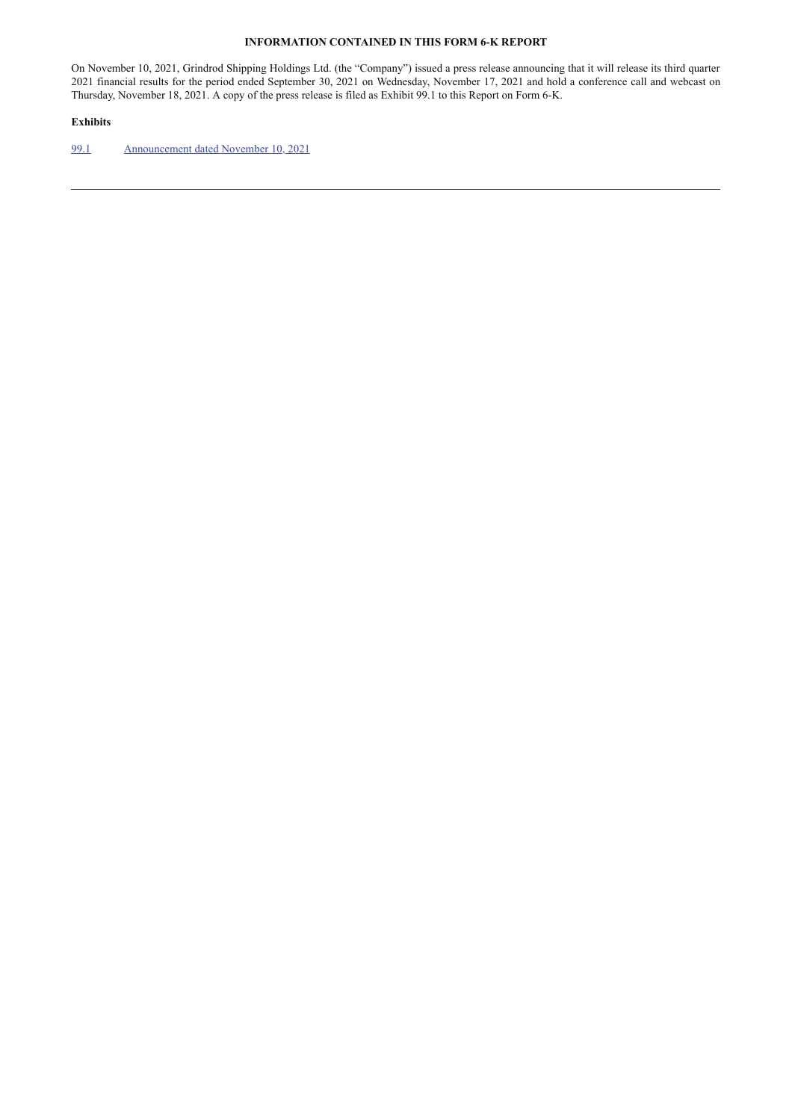### **INFORMATION CONTAINED IN THIS FORM 6-K REPORT**

On November 10, 2021, Grindrod Shipping Holdings Ltd. (the "Company") issued a press release announcing that it will release its third quarter 2021 financial results for the period ended September 30, 2021 on Wednesday, November 17, 2021 and hold a conference call and webcast on Thursday, November 18, 2021. A copy of the press release is filed as Exhibit 99.1 to this Report on Form 6-K.

### **Exhibits**

99.1 Announcement dated November 10, 2021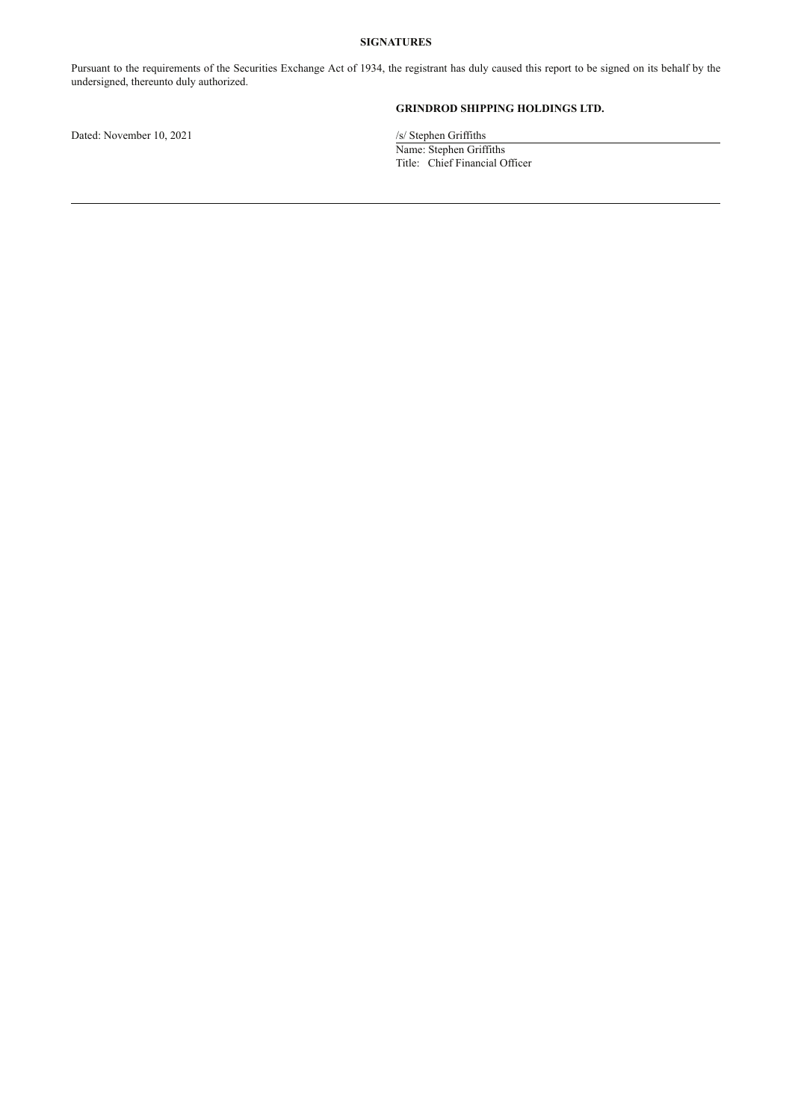# **SIGNATURES**

Pursuant to the requirements of the Securities Exchange Act of 1934, the registrant has duly caused this report to be signed on its behalf by the undersigned, thereunto duly authorized.

Dated: November 10, 2021 /s/ Stephen Griffiths

# **GRINDROD SHIPPING HOLDINGS LTD.**

Name: Stephen Griffiths Title: Chief Financial Officer